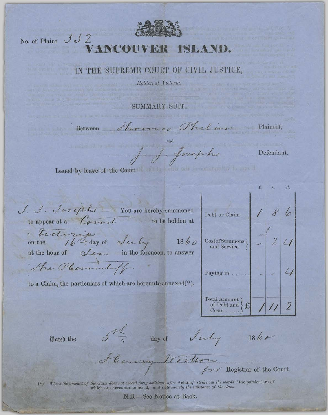

## No. of Plaint  $J J 2$

## CIVIL JUSTICE, THE SUPREME COURT  $O<sub>H</sub>$ 1 N

Holden at Victoria.

SUMMARY SUIT.

Between

 $\overline{\mathscr{O}}$ 

homes Philan Plaintiff,

and J. J. Josephs

Defendant.

Issued by leave of the Court of salt to smilly because an initial to pre-

| J. J. Josephs _ You are hereby summoned<br>to appear at a Count<br>to be holden at         | Debt or Claim.                                                 |  |
|--------------------------------------------------------------------------------------------|----------------------------------------------------------------|--|
| tectoria day of July<br>1860<br>at the hour of $\sqrt{2\pi}$<br>in the forenoon, to answer | CostofSummons)<br>and Service.                                 |  |
| The Phondiff<br>to a Claim, the particulars of which are hereunto annexed( $*$ ).          | Paying in                                                      |  |
|                                                                                            | Total Amount)<br>$\mathbf{f}$<br>of Debt and<br>$Costs \ldots$ |  |
|                                                                                            |                                                                |  |

Dated the

 $\sigma$  day of July  $186r$ 

Henry Worldon Registrar of the Court.

(\*) Where the amount of the claim does not exceed forty shillings, after "claim," strike out the words "the particulars of which are hereunto annexed," and state shortly the substance of the claim.

N.B.-See Notice at Back.